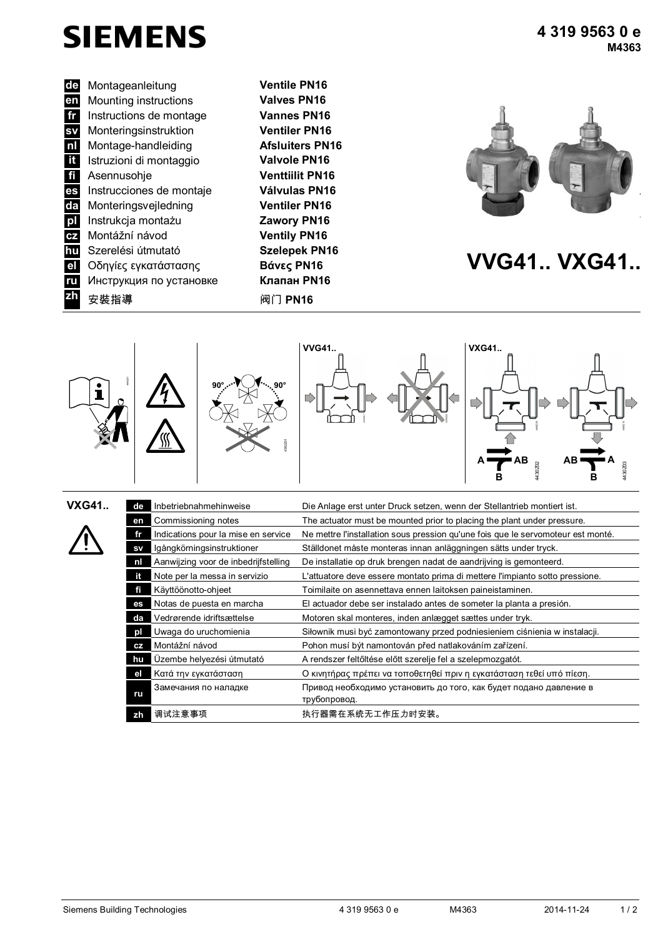

**de** Montageanleitung **en** Mounting instructions **fr** Instructions de montage **sv** Monteringsinstruktion **nl** Montage-aanwijzing **Luchtklepservomotor voor rot. aandrijving** Montage-handleiding **Afsluiters PN16 ita Istruzioni di montaggio fi** Asennusohie **es** Instrucciones de montaje **pl** Instrukcja montażu **Zawory PN16 cz** Montážní návod **Ventily PN16 hu** Szerelési útmutató **Szelepek PN16 el** Οδηγίες εγκατάστασης **Βάνες PN16 VVG41.. VXG41..**<br>**El** Οδηγίες εγκατάστασης **Βάνες PN16 VVG41.. VXG41.. ru** Инструкция по установке **zh** 安裝指導 阀门 **PN16**

**Ventile PN16 Valves PN16 Vannes PN16 Ventiler PN16 Valvole PN16 Venttiilit PN16 Válvulas PN16**





| <b>VXG41</b> | de        | Inbetriebnahmehinweise               | Die Anlage erst unter Druck setzen, wenn der Stellantrieb montiert ist.          |  |  |  |  |  |
|--------------|-----------|--------------------------------------|----------------------------------------------------------------------------------|--|--|--|--|--|
|              | en        | Commissioning notes                  | The actuator must be mounted prior to placing the plant under pressure.          |  |  |  |  |  |
|              | fr        | Indications pour la mise en service  | Ne mettre l'installation sous pression qu'une fois que le servomoteur est monté. |  |  |  |  |  |
|              | <b>SV</b> | lgångkörningsinstruktioner           | Ställdonet måste monteras innan anläggningen sätts under tryck.                  |  |  |  |  |  |
|              | nl        | Aanwijzing voor de inbedrijfstelling | De installatie op druk brengen nadat de aandrijving is gemonteerd.               |  |  |  |  |  |
|              | it.       | Note per la messa in servizio        | L'attuatore deve essere montato prima di mettere l'impianto sotto pressione.     |  |  |  |  |  |
|              | fi        | Käyttöönotto-ohjeet                  | Toimilaite on asennettava ennen laitoksen paineistaminen.                        |  |  |  |  |  |
|              | es        | Notas de puesta en marcha            | El actuador debe ser instalado antes de someter la planta a presión.             |  |  |  |  |  |
|              | da        | Vedrørende idriftsættelse            | Motoren skal monteres, inden anlægget sættes under tryk.                         |  |  |  |  |  |
|              | рI        | Uwaga do uruchomienia                | Siłownik musi być zamontowany przed podniesieniem ciśnienia w instalacji.        |  |  |  |  |  |
|              | CZ        | Montážní návod                       | Pohon musí být namontován před natlakováním zařízení.                            |  |  |  |  |  |
|              | hu        | Üzembe helyezési útmutató            | A rendszer feltőltése előtt szerelje fel a szelepmozgatót.                       |  |  |  |  |  |
|              | el        | Κατά την εγκατάσταση                 | Ο κινητήρας πρέπει να τοποθετηθεί πριν η εγκατάσταση τεθεί υπό πίεση.            |  |  |  |  |  |
|              |           | Замечания по наладке                 | Привод необходимо установить до того, как будет подано давление в                |  |  |  |  |  |
|              | ru        |                                      | трубопровод.                                                                     |  |  |  |  |  |
|              | zh        | 调试注意事项                               | 执行器需在系统无工作压力时安装。                                                                 |  |  |  |  |  |